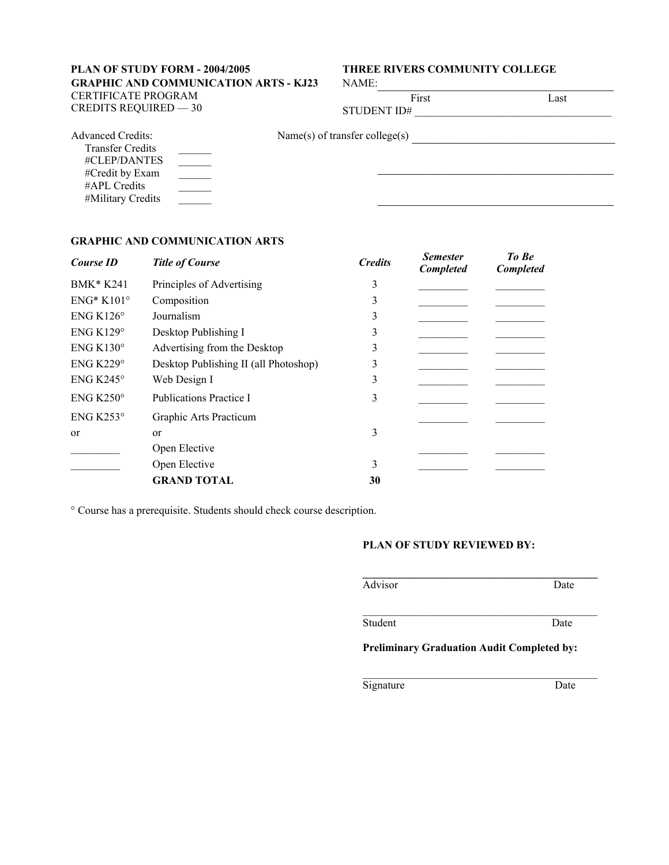## **PLAN OF STUDY FORM - 2004/2005 THREE RIVERS COMMUNITY COLLEGE GRAPHIC AND COMMUNICATION ARTS - KJ23** CERTIFICATE PROGRAM  $CREDITS REQUIRED - 30$  S

 $\mathcal{L}_\text{max}$  , where  $\mathcal{L}_\text{max}$  and  $\mathcal{L}_\text{max}$  and  $\mathcal{L}_\text{max}$ 

| NAME: |  |  |  |  |  |
|-------|--|--|--|--|--|
|       |  |  |  |  |  |

First Last

| STUDENT ID# |  |
|-------------|--|
|             |  |

Advanced Credits:

| Name(s) of transfer college(s) |  |
|--------------------------------|--|
|                                |  |

 Transfer Credits #CLEP/DANTES #Credit by Exam #APL Credits #Military Credits  $\mathcal{L}=\mathcal{L}$  $\mathcal{L}=\mathcal{L}$  $\mathcal{L}=\mathcal{L}$  $\_$   $\_$ 

# **GRAPHIC AND COMMUNICATION ARTS**

| Course ID<br><b>Title of Course</b> |                                       | <b>Credits</b> | <b>Semester</b><br><b>Completed</b> | To Be<br><b>Completed</b> |
|-------------------------------------|---------------------------------------|----------------|-------------------------------------|---------------------------|
| <b>BMK* K241</b>                    | Principles of Advertising             | 3              |                                     |                           |
| $ENG^*K101^{\circ}$                 | Composition                           | 3              |                                     |                           |
| ENG $K126^\circ$                    | Journalism                            | 3              |                                     |                           |
| ENG K129 $\circ$                    | Desktop Publishing I                  | 3              |                                     |                           |
| $ENG K130^\circ$                    | Advertising from the Desktop          | 3              |                                     |                           |
| ENG $K229^\circ$                    | Desktop Publishing II (all Photoshop) | 3              |                                     |                           |
| $ENG K245^\circ$                    | Web Design I                          | 3              |                                     |                           |
| ENG $K250^\circ$                    | <b>Publications Practice I</b>        | 3              |                                     |                           |
| ENG $K253^\circ$                    | Graphic Arts Practicum                |                |                                     |                           |
| <sub>or</sub>                       | <sub>or</sub>                         | 3              |                                     |                           |
|                                     | Open Elective                         |                |                                     |                           |
|                                     | Open Elective                         | 3              |                                     |                           |
|                                     | <b>GRAND TOTAL</b>                    | 30             |                                     |                           |

° Course has a prerequisite. Students should check course description.

## **PLAN OF STUDY REVIEWED BY:**

| Date |
|------|
|      |

Student Date

## **Preliminary Graduation Audit Completed by:**

 $\mathcal{L}_\text{max}$  and the contract of the contract of the contract of the contract of the contract of the contract of the contract of the contract of the contract of the contract of the contract of the contract of the contrac

\_\_\_\_\_\_\_\_\_\_\_\_\_\_\_\_\_\_\_\_\_\_\_\_\_\_\_\_\_\_\_\_\_\_\_\_\_\_\_\_\_\_\_

Signature Date